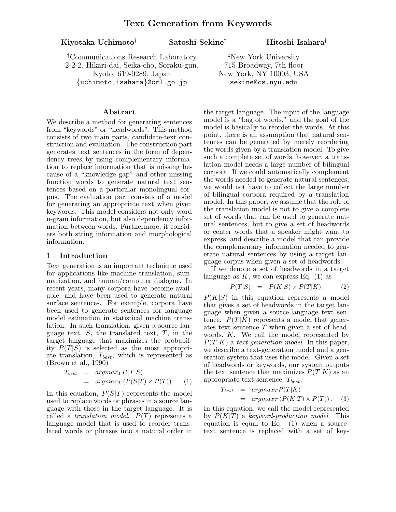## **Kiyotaka Uchimoto**† **Satoshi Sekine**‡ **Hitoshi Isahara**†

† Communications Research Laboratory 2-2-2, Hikari-dai, Seika-cho, Soraku-gun, Kyoto, 619-0289, Japan {uchimoto,isahara}@crl.go.jp

#### **Abstract**

We describe a method for generating sentences from "keywords" or "headwords". This method consists of two main parts, candidate-text construction and evaluation. The construction part generates text sentences in the form of dependency trees by using complementary information to replace information that is missing because of a "knowledge gap" and other missing function words to generate natural text sentences based on a particular monolingual corpus. The evaluation part consists of a model for generating an appropriate text when given keywords. This model considers not only word n-gram information, but also dependency information between words. Furthermore, it considers both string information and morphological information.

#### **1 Introduction**

Text generation is an important technique used for applications like machine translation, summarization, and human/computer dialogue. In recent years, many corpora have become available, and have been used to generate natural surface sentences. For example, corpora have been used to generate sentences for language model estimation in statistical machine translation. In such translation, given a source language text, *S*, the translated text, *T*, in the target language that maximizes the probability  $P(T|S)$  is selected as the most appropriate translation, *Tbest*, which is represented as (Brown et al., 1990)

$$
T_{best} = argmaxT P(T|S)
$$
  
= argmax<sub>T</sub> (P(S|T) × P(T)). (1)

In this equation,  $P(S|T)$  represents the model used to replace words or phrases in a source language with those in the target language. It is called a *translation model*. *P*(*T*) represents a language model that is used to reorder translated words or phrases into a natural order in

‡New York University 715 Broadway, 7th floor New York, NY 10003, USA sekine@cs.nyu.edu

the target language. The input of the language model is a "bag of words," and the goal of the model is basically to reorder the words. At this point, there is an assumption that natural sentences can be generated by merely reordering the words given by a translation model. To give such a complete set of words, however, a translation model needs a large number of bilingual corpora. If we could automatically complement the words needed to generate natural sentences, we would not have to collect the large number of bilingual corpora required by a translation model. In this paper, we assume that the role of the translation model is not to give a complete set of words that can be used to generate natural sentences, but to give a set of headwords or center words that a speaker might want to express, and describe a model that can provide the complementary information needed to generate natural sentences by using a target language corpus when given a set of headwords.

If we denote a set of headwords in a target language as  $K$ , we can express Eq.  $(1)$  as

$$
P(T|S) = P(K|S) \times P(T|K). \tag{2}
$$

 $P(K|S)$  in this equation represents a model that gives a set of headwords in the target language when given a source-language text sentence.  $P(T|K)$  represents a model that generates text sentence *T* when given a set of headwords, *K*. We call the model represented by *P*(*T*|*K*) a *text-generation model*. In this paper, we describe a text-generation model and a generation system that uses the model. Given a set of headwords or keywords, our system outputs the text sentence that maximizes  $P(T|K)$  as an appropriate text sentence, *Tbest*:

$$
T_{best} = argmax_T P(T|K)
$$
  
= argmax\_T (P(K|T) × P(T)). (3)

In this equation, we call the model represented by *P*(*K*|*T*) a *keyword-production model*. This equation is equal to Eq. (1) when a sourcetext sentence is replaced with a set of key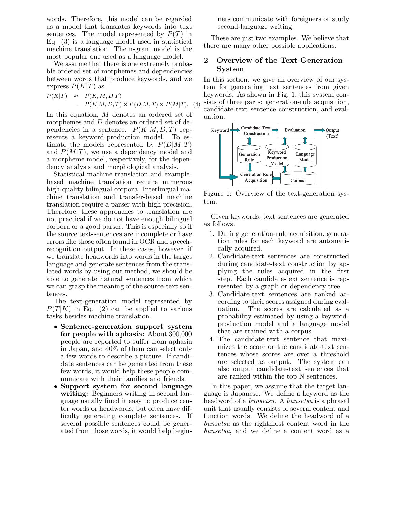words. Therefore, this model can be regarded as a model that translates keywords into text sentences. The model represented by *P*(*T*) in Eq. (3) is a language model used in statistical machine translation. The n-gram model is the most popular one used as a language model.

We assume that there is one extremely probable ordered set of morphemes and dependencies between words that produce keywords, and we express  $P(K|T)$  as

$$
P(K|T) \approx P(K, M, D|T)
$$
  
= 
$$
P(K|M, D, T) \times P(D|M, T) \times P(M|T).
$$
 (4)

In this equation, *M* denotes an ordered set of morphemes and *D* denotes an ordered set of dependencies in a sentence.  $P(K|M,D,T)$  represents a keyword-production model. To estimate the models represented by *P*(*D*|*M,T*) and  $P(M|T)$ , we use a dependency model and a morpheme model, respectively, for the dependency analysis and morphological analysis.

Statistical machine translation and examplebased machine translation require numerous high-quality bilingual corpora. Interlingual machine translation and transfer-based machine translation require a parser with high precision. Therefore, these approaches to translation are not practical if we do not have enough bilingual corpora or a good parser. This is especially so if the source text-sentences are incomplete or have errors like those often found in OCR and speechrecognition output. In these cases, however, if we translate headwords into words in the target language and generate sentences from the translated words by using our method, we should be able to generate natural sentences from which we can grasp the meaning of the source-text sentences.

The text-generation model represented by  $P(T|K)$  in Eq. (2) can be applied to various tasks besides machine translation.

- **Sentence-generation support system for people with aphasia:** About 300,000 people are reported to suffer from aphasia in Japan, and 40% of them can select only a few words to describe a picture. If candidate sentences can be generated from these few words, it would help these people communicate with their families and friends.
- **Support system for second language writing:** Beginners writing in second language usually fined it easy to produce center words or headwords, but often have difficulty generating complete sentences. If several possible sentences could be generated from those words, it would help begin-

ners communicate with foreigners or study second-language writing.

These are just two examples. We believe that there are many other possible applications.

# **2 Overview of the Text-Generation System**

In this section, we give an overview of our system for generating text sentences from given keywords. As shown in Fig. 1, this system consists of three parts: generation-rule acquisition, candidate-text sentence construction, and evaluation.



Figure 1: Overview of the text-generation system.

Given keywords, text sentences are generated as follows.

- 1. During generation-rule acquisition, generation rules for each keyword are automatically acquired.
- 2. Candidate-text sentences are constructed during candidate-text construction by applying the rules acquired in the first step. Each candidate-text sentence is represented by a graph or dependency tree.
- 3. Candidate-text sentences are ranked according to their scores assigned during evaluation. The scores are calculated as a probability estimated by using a keywordproduction model and a language model that are trained with a corpus.
- 4. The candidate-text sentence that maximizes the score or the candidate-text sentences whose scores are over a threshold are selected as output. The system can also output candidate-text sentences that are ranked within the top N sentences.

In this paper, we assume that the target language is Japanese. We define a keyword as the headword of a *bunsetsu*. A *bunsetsu* is a phrasal unit that usually consists of several content and function words. We define the headword of a *bunsetsu* as the rightmost content word in the *bunsetsu*, and we define a content word as a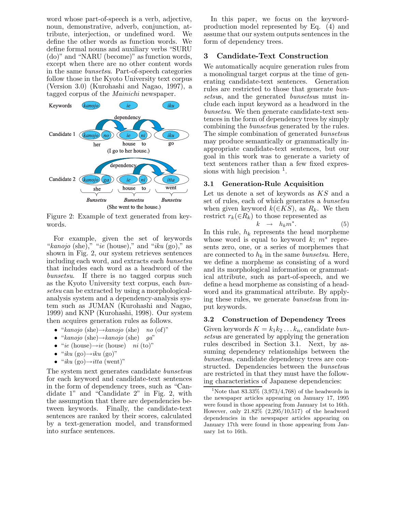word whose part-of-speech is a verb, adjective, noun, demonstrative, adverb, conjunction, attribute, interjection, or undefined word. We define the other words as function words. We define formal nouns and auxiliary verbs "SURU (do)" and "NARU (become)" as function words, except when there are no other content words in the same *bunsetsu*. Part-of-speech categories follow those in the Kyoto University text corpus (Version 3.0) (Kurohashi and Nagao, 1997), a tagged corpus of the *Mainichi* newspaper.



Figure 2: Example of text generated from keywords.

For example, given the set of keywords "*kanojo* (she)," "*ie* (house)," and "*iku* (go)," as shown in Fig. 2, our system retrieves sentences including each word, and extracts each *bunsetsu* that includes each word as a headword of the *bunsetsu*. If there is no tagged corpus such as the Kyoto University text corpus, each *bunsetsu* can be extracted by using a morphologicalanalysis system and a dependency-analysis system such as JUMAN (Kurohashi and Nagao, 1999) and KNP (Kurohashi, 1998). Our system then acquires generation rules as follows.

- "*kanojo* (she)→*kanojo* (she) *no* (of)"
- "*kanojo* (she)→*kanojo* (she) *ga*"
- "*ie* (house) $\rightarrow$ *ie* (house) *ni* (to)"
- "*iku* (go) $\rightarrow$ *iku* (go)"
- " $iku$  (go) $\rightarrow$ *itta* (went)"

The system next generates candidate *bunsetsu*s for each keyword and candidate-text sentences in the form of dependency trees, such as "Candidate 1" and "Candidate 2" in Fig. 2, with the assumption that there are dependencies between keywords. Finally, the candidate-text sentences are ranked by their scores, calculated by a text-generation model, and transformed into surface sentences.

In this paper, we focus on the keywordproduction model represented by Eq. (4) and assume that our system outputs sentences in the form of dependency trees.

## **3 Candidate-Text Construction**

We automatically acquire generation rules from a monolingual target corpus at the time of generating candidate-text sentences. Generation rules are restricted to those that generate *bunsetsu*s, and the generated *bunsetsu*s must include each input keyword as a headword in the *bunsetsu*. We then generate candidate-text sentences in the form of dependency trees by simply combining the *bunsetsu*s generated by the rules. The simple combination of generated *bunsetsu*s may produce semantically or grammatically inappropriate candidate-text sentences, but our goal in this work was to generate a variety of text sentences rather than a few fixed expressions with high precision  $<sup>1</sup>$ .</sup>

#### **3.1 Generation-Rule Acquisition**

Let us denote a set of keywords as *KS* and a set of rules, each of which generates a *bunsetsu* when given keyword  $k(\in KS)$ , as  $R_k$ . We then restrict  $r_k(\in R_k)$  to those represented as

$$
k \quad \to \quad h_k m^* \tag{5}
$$

In this rule,  $h_k$  represents the head morpheme whose word is equal to keyword *k*; *m*∗ represents zero, one, or a series of morphemes that are connected to  $h_k$  in the same *bunsetsu*. Here, we define a morpheme as consisting of a word and its morphological information or grammatical attribute, such as part-of-speech, and we define a head morpheme as consisting of a headword and its grammatical attribute. By applying these rules, we generate *bunsetsu*s from input keywords.

## **3.2 Construction of Dependency Trees**

Given keywords  $K = k_1 k_2 \ldots k_n$ , candidate *bunsetsu*s are generated by applying the generation rules described in Section 3.1. Next, by assuming dependency relationships between the *bunsetsu*s, candidate dependency trees are constructed. Dependencies between the *bunsetsu*s are restricted in that they must have the following characteristics of Japanese dependencies:

<sup>&</sup>lt;sup>1</sup>Note that  $83.33\%$   $(3.973/4.768)$  of the headwords in the newspaper articles appearing on January 17, 1995 were found in those appearing from January 1st to 16th. However, only 21.82% (2,295/10,517) of the headword dependencies in the newspaper articles appearing on January 17th were found in those appearing from January 1st to 16th.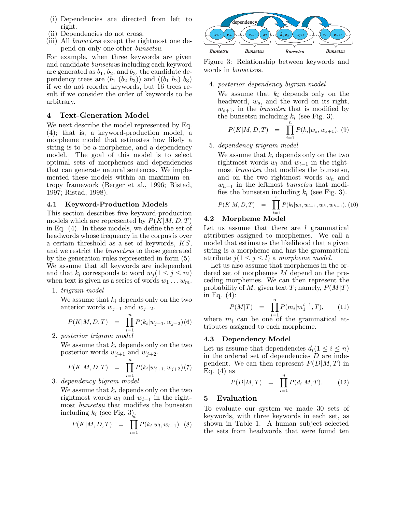- (i) Dependencies are directed from left to right.
- (ii) Dependencies do not cross.
- (iii) All *bunsetsu*s except the rightmost one depend on only one other *bunsetsu*.

For example, when three keywords are given and candidate *bunsetsu*s including each keyword are generated as  $b_1$ ,  $b_2$ , and  $b_3$ , the candidate dependency trees are  $(b_1 (b_2 b_3))$  and  $((b_1 b_2) b_3)$ if we do not reorder keywords, but 16 trees result if we consider the order of keywords to be arbitrary.

## **4 Text-Generation Model**

We next describe the model represented by Eq. (4); that is, a keyword-production model, a morpheme model that estimates how likely a string is to be a morpheme, and a dependency model. The goal of this model is to select optimal sets of morphemes and dependencies that can generate natural sentences. We implemented these models within an maximum entropy framework (Berger et al., 1996; Ristad, 1997; Ristad, 1998).

#### **4.1 Keyword-Production Models**

This section describes five keyword-production models which are represented by  $P(K|M,D,T)$ in Eq. (4). In these models, we define the set of headwords whose frequency in the corpus is over a certain threshold as a set of keywords, *KS*, and we restrict the *bunsetsu*s to those generated by the generation rules represented in form (5). We assume that all keywords are independent and that  $k_i$  corresponds to word  $w_j (1 \leq j \leq m)$ when text is given as a series of words  $w_1 \ldots w_m$ .

1. *trigram model*

We assume that *k<sup>i</sup>* depends only on the two anterior words  $w_{j-1}$  and  $w_{j-2}$ .

$$
P(K|M, D, T) = \prod_{i=1}^{n} P(k_i | w_{j-1}, w_{j-2})(6)
$$

2. *posterior trigram model*

We assume that  $k_i$  depends only on the two posterior words  $w_{j+1}$  and  $w_{j+2}$ .

$$
P(K|M, D, T) = \prod_{i=1}^{n} P(k_i|w_{j+1}, w_{j+2})
$$
(7)

3. *dependency bigram model*

We assume that *k<sup>i</sup>* depends only on the two rightmost words  $w_l$  and  $w_{l-1}$  in the rightmost *bunsetsu* that modifies the bunsetsu including  $k_i$  (see Fig. 3).

$$
P(K|M, D, T) = \prod_{i=1}^{n} P(k_i|w_l, w_{l-1}). \tag{8}
$$



Figure 3: Relationship between keywords and words in *bunsetsu*s.

- 4. *posterior dependency bigram model*
	- We assume that  $k_i$  depends only on the headword, *ws*, and the word on its right, *ws*+1, in the *bunsetsu* that is modified by the bunsetsu including  $k_i$  (see Fig. 3).

$$
P(K|M, D, T) = \prod_{i=1}^{n} P(k_i|w_s, w_{s+1}). \tag{9}
$$

5. *dependency trigram model*

We assume that *k<sup>i</sup>* depends only on the two rightmost words  $w_l$  and  $w_{l-1}$  in the rightmost *bunsetsu* that modifies the bunsetsu, and on the two rightmost words *w<sup>h</sup>* and *wh*−<sup>1</sup> in the leftmost *bunsetsu* that modifies the bunsetsu including  $k_i$  (see Fig. 3).

$$
P(K|M, D, T) = \prod_{i=1}^{n} P(k_i|w_l, w_{l-1}, w_h, w_{h-1}). \text{ (10)}
$$

#### **4.2 Morpheme Model**

Let us assume that there are *l* grammatical attributes assigned to morphemes. We call a model that estimates the likelihood that a given string is a morpheme and has the grammatical attribute  $j(1 \leq j \leq l)$  a *morpheme model*.

Let us also assume that morphemes in the ordered set of morphemes *M* depend on the preceding morphemes. We can then represent the probability of  $M$ , given text  $T$ ; namely,  $P(M|T)$ in Eq.  $(4)$ :

$$
P(M|T) = \prod_{i=1}^{n} P(m_i|m_1^{i-1},T), \qquad (11)
$$

where  $m_i$  can be one of the grammatical attributes assigned to each morpheme.

#### **4.3 Dependency Model**

Let us assume that dependencies  $d_i(1 \leq i \leq n)$ in the ordered set of dependencies *D* are independent. We can then represent  $P(D|M,T)$  in Eq.  $(4)$  as

$$
P(D|M,T) = \prod_{i=1}^{n} P(d_i|M,T). \qquad (12)
$$

## **5 Evaluation**

To evaluate our system we made 30 sets of keywords, with three keywords in each set, as shown in Table 1. A human subject selected the sets from headwords that were found ten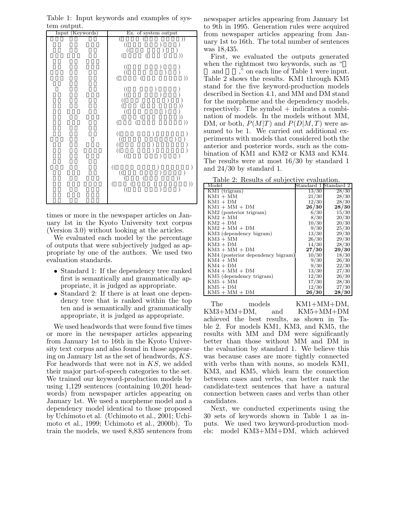Table 1: Input keywords and examples of system output.



times or more in the newspaper articles on January 1st in the Kyoto University text corpus (Version 3.0) without looking at the articles.

We evaluated each model by the percentage of outputs that were subjectively judged as appropriate by one of the authors. We used two evaluation standards.

- Standard 1: If the dependency tree ranked first is semantically and grammatically appropriate, it is judged as appropriate.
- Standard 2: If there is at least one dependency tree that is ranked within the top ten and is semantically and grammatically appropriate, it is judged as appropriate.

We used headwords that were found five times or more in the newspaper articles appearing from January 1st to 16th in the Kyoto University text corpus and also found in those appearing on January 1st as the set of headwords, *KS*. For headwords that were not in *KS*, we added their major part-of-speech categories to the set. We trained our keyword-production models by using 1,129 sentences (containing 10,201 headwords) from newspaper articles appearing on January 1st. We used a morpheme model and a dependency model identical to those proposed by Uchimoto et al. (Uchimoto et al., 2001; Uchimoto et al., 1999; Uchimoto et al., 2000b). To train the models, we used 8,835 sentences from newspaper articles appearing from January 1st to 9th in 1995. Generation rules were acquired from newspaper articles appearing from January 1st to 16th. The total number of sentences was 18,435.

First, we evaluated the outputs generated when the rightmost two keywords, such as "

and  $\qquad$ ," on each line of Table 1 were input. Table 2 shows the results. KM1 through KM5 stand for the five keyword-production models described in Section 4.1, and MM and DM stand for the morpheme and the dependency models, respectively. The symbol + indicates a combination of models. In the models without MM, DM, or both,  $P(M|T)$  and  $P(D|M,T)$  were assumed to be 1. We carried out additional experiments with models that considered both the anterior and posterior words, such as the combination of KM1 and KM2 or KM3 and KM4. The results were at most 16/30 by standard 1 and 24/30 by standard 1.

Table 2: Results of subjective evaluation.

| $\frac{1}{2}$                     |       |                       |
|-----------------------------------|-------|-----------------------|
| Model                             |       | Standard 1 Standard 2 |
| $KM1$ (trigram)                   | 13/30 | 28/30                 |
| $\mathrm{KM1} + \mathrm{MM}$      | 21/30 | 28/30                 |
| $\text{KM1}+\text{DM}$            | 12/30 | 28/30                 |
| $KM1 + MM + DM$                   | 26/30 | 28/30                 |
| KM2 (posterior trigram)           | 6/30  | 15/30                 |
| $KM2+MM$                          | 8/30  | 20/30                 |
| $\text{KM2}+\text{DM}$            | 10/30 | 20/30                 |
| $KM2+MM+DM$                       | 9/30  | 25/30                 |
| KM3 (dependency bigram)           | 13/30 | 29/30                 |
| $\text{KM3}{}+ \text{MM}{}$       | 26/30 | 29/30                 |
| $\mathrm{KM3+DM}$                 | 14/30 | 28/30                 |
| $KM3 + MM + DM$                   | 27/30 | 29/30                 |
| KM4 (posterior dependency bigram) | 10/30 | 18/30                 |
| $\text{KM4} + \text{MM}$          | 9/30  | 26/30                 |
| $\mathrm{KM4+DM}$                 | 9/30  | 22/30                 |
| $KM4 + MM + DM$                   | 13/30 | 27/30                 |
| KM5 (dependency trigram)          | 12/30 | 26/30                 |
| $\mathrm{KM5}+\mathrm{MM}$        | 17/30 | 28/30                 |
| $\mathrm{KM5+DM}$                 | 12/30 | 27/30                 |
| $KM5+MM+DM$                       | 26/30 | 28/30                 |

The models  $KM1+MM+DM$ , KM3+MM+DM, and KM5+MM+DM achieved the best results, as shown in Table 2. For models KM1, KM3, and KM5, the results with MM and DM were significantly better than those without MM and DM in the evaluation by standard 1. We believe this was because cases are more tightly connected with verbs than with nouns, so models KM1, KM3, and KM5, which learn the connection between cases and verbs, can better rank the candidate-text sentences that have a natural connection between cases and verbs than other candidates.

Next, we conducted experiments using the 30 sets of keywords shown in Table 1 as inputs. We used two keyword-production models: model KM3+MM+DM, which achieved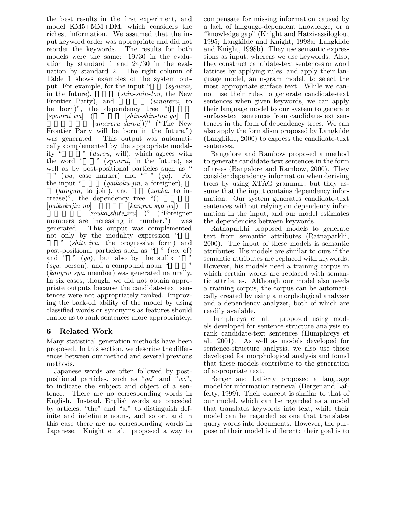the best results in the first experiment, and model KM5+MM+DM, which considers the richest information. We assumed that the input keyword order was appropriate and did not reorder the keywords. The results for both models were the same: 19/30 in the evaluation by standard 1 and 24/30 in the evaluation by standard 2. The right column of Table 1 shows examples of the system output. For example, for the input " (*syourai*, in the future),  $(shin\text{-}shin\text{-}tou$ , the New Frontier Party), and (*umareru*, to be born)", the dependency tree " $($  $[syourai_wa]$   $(shin-shin-tou_ga]$ 

[*umareru\_darou*]))" ("The New Frontier Party will be born in the future.") was generated. This output was automatically complemented by the appropriate modality " (*darou*, will), which agrees with the word " " (*syourai*, in the future), as well as by post-positional particles such as " " (*wa*, case marker) and " " (*ga*). For<br>the input " (*gaikoku-jin*, a foreigner),  $(gaikoku-jin, a foreigner),$ 

 $(kanyuu, to join), and$   $(zouka, to in$ crease)", the dependency tree  $\sqrt[4]{\frac{1}{2}}$ 

 $[gaikokujin-no]$   $[kanyuu_sya_qa]$ [*zouka\_shite\_iru*] )" ("Foreigner members are increasing in number.") was generated. This output was complemented not only by the modality expression "

いる" (*shite iru*, the progressive form) and post-positional particles such as " " (*no*, of) and "  $(ga)$ , but also by the suffix " "  $(sya, \text{person})$ , and a compound noun " (*kanyuu sya*, member) was generated naturally. In six cases, though, we did not obtain appropriate outputs because the candidate-text sentences were not appropriately ranked. Improving the back-off ability of the model by using classified words or synonyms as features should enable us to rank sentences more appropriately.

# **6 Related Work**

Many statistical generation methods have been proposed. In this section, we describe the differences between our method and several previous methods.

Japanese words are often followed by postpositional particles, such as "*ga*" and "*wo*", to indicate the subject and object of a sentence. There are no corresponding words in English. Instead, English words are preceded by articles, "the" and "a," to distinguish definite and indefinite nouns, and so on, and in this case there are no corresponding words in Japanese. Knight et al. proposed a way to compensate for missing information caused by a lack of language-dependent knowledge, or a "knowledge gap" (Knight and Hatzivassiloglou, 1995; Langkilde and Knight, 1998a; Langkilde and Knight, 1998b). They use semantic expressions as input, whereas we use keywords. Also, they construct candidate-text sentences or word lattices by applying rules, and apply their language model, an n-gram model, to select the most appropriate surface text. While we cannot use their rules to generate candidate-text sentences when given keywords, we can apply their language model to our system to generate surface-text sentences from candidate-text sentences in the form of dependency trees. We can also apply the formalism proposed by Langkilde (Langkilde, 2000) to express the candidate-text sentences.

Bangalore and Rambow proposed a method to generate candidate-text sentences in the form of trees (Bangalore and Rambow, 2000). They consider dependency information when deriving trees by using XTAG grammar, but they assume that the input contains dependency information. Our system generates candidate-text sentences without relying on dependency information in the input, and our model estimates the dependencies between keywords.

Ratnaparkhi proposed models to generate text from semantic attributes (Ratnaparkhi, 2000). The input of these models is semantic attributes. His models are similar to ours if the semantic attributes are replaced with keywords. However, his models need a training corpus in which certain words are replaced with semantic attributes. Although our model also needs a training corpus, the corpus can be automatically created by using a morphological analyzer and a dependency analyzer, both of which are readily available.

Humphreys et al. proposed using models developed for sentence-structure analysis to rank candidate-text sentences (Humphreys et al., 2001). As well as models developed for sentence-structure analysis, we also use those developed for morphological analysis and found that these models contribute to the generation of appropriate text.

Berger and Lafferty proposed a language model for information retrieval (Berger and Lafferty, 1999). Their concept is similar to that of our model, which can be regarded as a model that translates keywords into text, while their model can be regarded as one that translates query words into documents. However, the purpose of their model is different: their goal is to